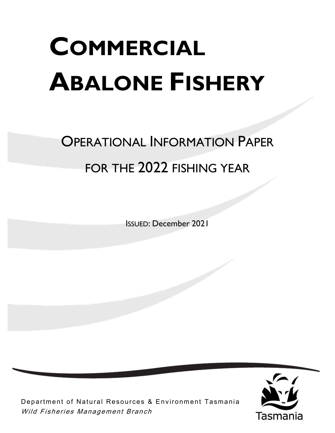# **COMMERCIAL ABALONE FISHERY**

# OPERATIONAL INFORMATION PAPER FOR THE 2022 FISHING YEAR

ISSUED: December 2021



Department of Natural Resources & Environment Tasmania Wild Fisheries Management Branch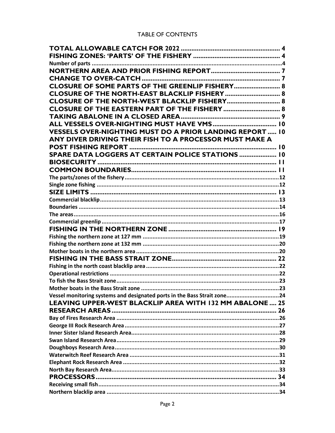#### TABLE OF CONTENTS

| CLOSURE OF SOME PARTS OF THE GREENLIP FISHERY 8                          |  |
|--------------------------------------------------------------------------|--|
| CLOSURE OF THE NORTH-EAST BLACKLIP FISHERY  8                            |  |
| CLOSURE OF THE NORTH-WEST BLACKLIP FISHERY 8                             |  |
| CLOSURE OF THE EASTERN PART OF THE FISHERY  8                            |  |
|                                                                          |  |
|                                                                          |  |
| <b>VESSELS OVER-NIGHTING MUST DO A PRIOR LANDING REPORT 10</b>           |  |
| ANY DIVER DRIVING THEIR FISH TO A PROCESSOR MUST MAKE A                  |  |
|                                                                          |  |
| SPARE DATA LOGGERS AT CERTAIN POLICE STATIONS  10                        |  |
|                                                                          |  |
|                                                                          |  |
|                                                                          |  |
|                                                                          |  |
|                                                                          |  |
|                                                                          |  |
|                                                                          |  |
|                                                                          |  |
|                                                                          |  |
|                                                                          |  |
|                                                                          |  |
|                                                                          |  |
|                                                                          |  |
|                                                                          |  |
|                                                                          |  |
|                                                                          |  |
|                                                                          |  |
|                                                                          |  |
| Vessel monitoring systems and designated ports in the Bass Strait zone24 |  |
| LEAVING UPPER-WEST BLACKLIP AREA WITH 132 MM ABALONE 25                  |  |
|                                                                          |  |
|                                                                          |  |
|                                                                          |  |
|                                                                          |  |
|                                                                          |  |
|                                                                          |  |
|                                                                          |  |
|                                                                          |  |
|                                                                          |  |
|                                                                          |  |
|                                                                          |  |
|                                                                          |  |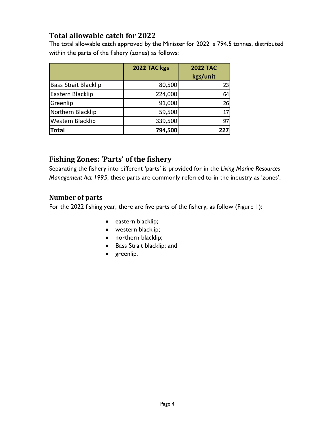# <span id="page-3-0"></span>**Total allowable catch for 2022**

The total allowable catch approved by the Minister for 2022 is 794.5 tonnes, distributed within the parts of the fishery (zones) as follows:

|                             | 2022 TAC kgs | <b>2022 TAC</b><br>kgs/unit |
|-----------------------------|--------------|-----------------------------|
| <b>Bass Strait Blacklip</b> | 80,500       | 23                          |
| Eastern Blacklip            | 224,000      | 64                          |
| Greenlip                    | 91,000       | 26                          |
| Northern Blacklip           | 59,500       | 17                          |
| Western Blacklip            | 339,500      | 97                          |
| <b>Total</b>                | 794,500      | 227                         |

# <span id="page-3-1"></span>**Fishing Zones: 'Parts' of the fishery**

Separating the fishery into different 'parts' is provided for in the *Living Marine Resources Management Act 1995*; these parts are commonly referred to in the industry as 'zones'.

# <span id="page-3-2"></span>**Number of parts**

For the 2022 fishing year, there are five parts of the fishery, as follow (Figure 1):

- eastern blacklip;
- western blacklip;
- northern blacklip;
- Bass Strait blacklip; and
- greenlip.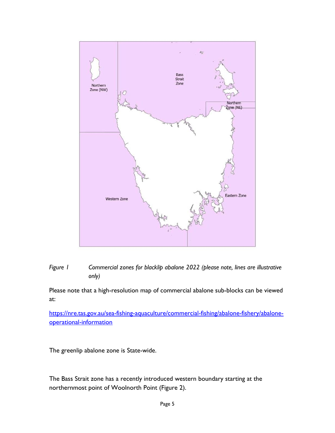



Please note that a high-resolution map of commercial abalone sub-blocks can be viewed at:

[https://nre.tas.gov.au/sea-fishing-aquaculture/commercial-fishing/abalone-fishery/abalone](https://nre.tas.gov.au/sea-fishing-aquaculture/commercial-fishing/abalone-fishery/abalone-operational-information)[operational-information](https://nre.tas.gov.au/sea-fishing-aquaculture/commercial-fishing/abalone-fishery/abalone-operational-information)

The greenlip abalone zone is State-wide.

The Bass Strait zone has a recently introduced western boundary starting at the northernmost point of Woolnorth Point (Figure 2).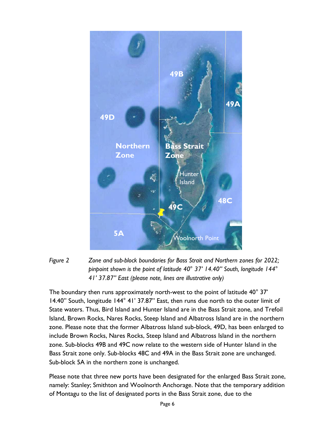



The boundary then runs approximately north-west to the point of latitude 40° 37' 14.40" South, longitude 144° 41' 37.87" East, then runs due north to the outer limit of State waters. Thus, Bird Island and Hunter Island are in the Bass Strait zone, and Trefoil Island, Brown Rocks, Nares Rocks, Steep Island and Albatross Island are in the northern zone. Please note that the former Albatross Island sub-block, 49D, has been enlarged to include Brown Rocks, Nares Rocks, Steep Island and Albatross Island in the northern zone. Sub-blocks 49B and 49C now relate to the western side of Hunter Island in the Bass Strait zone only. Sub-blocks 48C and 49A in the Bass Strait zone are unchanged. Sub-block 5A in the northern zone is unchanged.

Please note that three new ports have been designated for the enlarged Bass Strait zone, namely: Stanley; Smithton and Woolnorth Anchorage. Note that the temporary addition of Montagu to the list of designated ports in the Bass Strait zone, due to the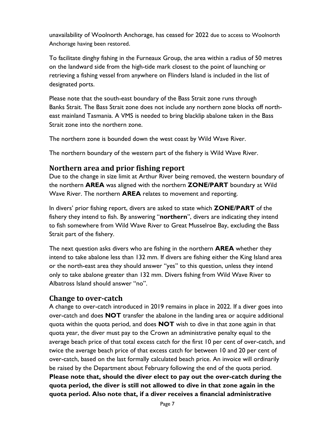unavailability of Woolnorth Anchorage, has ceased for 2022 due to access to Woolnorth Anchorage having been restored.

To facilitate dinghy fishing in the Furneaux Group, the area within a radius of 50 metres on the landward side from the high-tide mark closest to the point of launching or retrieving a fishing vessel from anywhere on Flinders Island is included in the list of designated ports.

Please note that the south-east boundary of the Bass Strait zone runs through Banks Strait. The Bass Strait zone does not include any northern zone blocks off northeast mainland Tasmania. A VMS is needed to bring blacklip abalone taken in the Bass Strait zone into the northern zone.

The northern zone is bounded down the west coast by Wild Wave River.

The northern boundary of the western part of the fishery is Wild Wave River.

#### <span id="page-6-0"></span>**Northern area and prior fishing report**

Due to the change in size limit at Arthur River being removed, the western boundary of the northern **AREA** was aligned with the northern **ZONE/PART** boundary at Wild Wave River. The northern **AREA** relates to movement and reporting.

In divers' prior fishing report, divers are asked to state which **ZONE/PART** of the fishery they intend to fish. By answering "**northern**", divers are indicating they intend to fish somewhere from Wild Wave River to Great Musselroe Bay, excluding the Bass Strait part of the fishery.

The next question asks divers who are fishing in the northern **AREA** whether they intend to take abalone less than 132 mm. If divers are fishing either the King Island area or the north-east area they should answer "yes" to this question, unless they intend only to take abalone greater than 132 mm. Divers fishing from Wild Wave River to Albatross Island should answer "no".

#### <span id="page-6-1"></span>**Change to over-catch**

A change to over-catch introduced in 2019 remains in place in 2022. If a diver goes into over-catch and does **NOT** transfer the abalone in the landing area or acquire additional quota within the quota period, and does **NOT** wish to dive in that zone again in that quota year, the diver must pay to the Crown an administrative penalty equal to the average beach price of that total excess catch for the first 10 per cent of over-catch, and twice the average beach price of that excess catch for between 10 and 20 per cent of over-catch, based on the last formally calculated beach price. An invoice will ordinarily be raised by the Department about February following the end of the quota period. **Please note that, should the diver elect to pay out the over-catch during the quota period, the diver is still not allowed to dive in that zone again in the quota period. Also note that, if a diver receives a financial administrative**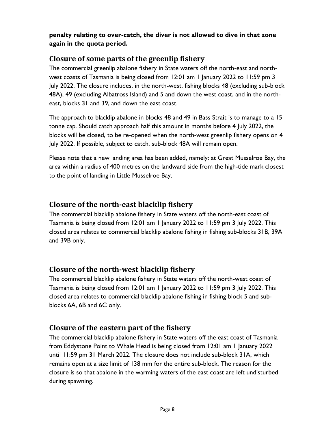**penalty relating to over-catch, the diver is not allowed to dive in that zone again in the quota period.**

# <span id="page-7-0"></span>**Closure of some parts of the greenlip fishery**

The commercial greenlip abalone fishery in State waters off the north-east and northwest coasts of Tasmania is being closed from 12:01 am 1 January 2022 to 11:59 pm 3 July 2022. The closure includes, in the north-west, fishing blocks 48 (excluding sub-block 48A), 49 (excluding Albatross Island) and 5 and down the west coast, and in the northeast, blocks 31 and 39, and down the east coast.

The approach to blacklip abalone in blocks 48 and 49 in Bass Strait is to manage to a 15 tonne cap. Should catch approach half this amount in months before 4 July 2022, the blocks will be closed, to be re-opened when the north-west greenlip fishery opens on 4 July 2022. If possible, subject to catch, sub-block 48A will remain open.

Please note that a new landing area has been added, namely: at Great Musselroe Bay, the area within a radius of 400 metres on the landward side from the high-tide mark closest to the point of landing in Little Musselroe Bay.

# <span id="page-7-1"></span>**Closure of the north-east blacklip fishery**

The commercial blacklip abalone fishery in State waters off the north-east coast of Tasmania is being closed from 12:01 am 1 January 2022 to 11:59 pm 3 July 2022. This closed area relates to commercial blacklip abalone fishing in fishing sub-blocks 31B, 39A and 39B only.

# <span id="page-7-2"></span>**Closure of the north-west blacklip fishery**

The commercial blacklip abalone fishery in State waters off the north-west coast of Tasmania is being closed from 12:01 am 1 January 2022 to 11:59 pm 3 July 2022. This closed area relates to commercial blacklip abalone fishing in fishing block 5 and subblocks 6A, 6B and 6C only.

# <span id="page-7-3"></span>**Closure of the eastern part of the fishery**

The commercial blacklip abalone fishery in State waters off the east coast of Tasmania from Eddystone Point to Whale Head is being closed from 12:01 am 1 January 2022 until 11:59 pm 31 March 2022. The closure does not include sub-block 31A, which remains open at a size limit of 138 mm for the entire sub-block. The reason for the closure is so that abalone in the warming waters of the east coast are left undisturbed during spawning.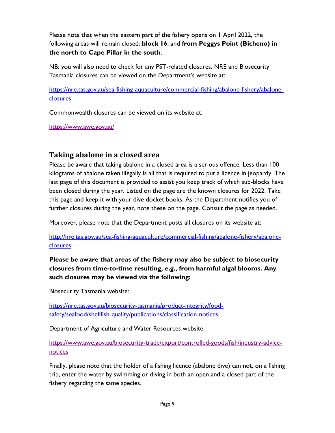Please note that when the eastern part of the fishery opens on 1 April 2022, the following areas will remain closed: **block 16**, and **from Peggys Point (Bicheno) in the north to Cape Pillar in the south**.

NB: you will also need to check for any PST-related closures. NRE and Biosecurity Tasmania closures can be viewed on the Department's website at:

[https://nre.tas.gov.au/sea-fishing-aquaculture/commercial-fishing/abalone-fishery/abalone](https://nre.tas.gov.au/sea-fishing-aquaculture/commercial-fishing/abalone-fishery/abalone-closures)[closures](https://nre.tas.gov.au/sea-fishing-aquaculture/commercial-fishing/abalone-fishery/abalone-closures)

Commonwealth closures can be viewed on its website at:

<https://www.awe.gov.au/>

# <span id="page-8-0"></span>**Taking abalone in a closed area**

Please be aware that taking abalone in a closed area is a serious offence. Less than 100 kilograms of abalone taken illegally is all that is required to put a licence in jeopardy. The last page of this document is provided to assist you keep track of which sub-blocks have been closed during the year. Listed on the page are the known closures for 2022. Take this page and keep it with your dive docket books. As the Department notifies you of further closures during the year, note these on the page. Consult the page as needed.

Moreover, please note that the Department posts all closures on its website at:

[http://nre.tas.gov.au/sea-fishing-aquaculture/commercial-fishing/abalone-fishery/abalone](http://nre.tas.gov.au/sea-fishing-aquaculture/commercial-fishing/abalone-fishery/abalone-closures)[closures](http://nre.tas.gov.au/sea-fishing-aquaculture/commercial-fishing/abalone-fishery/abalone-closures)

**Please be aware that areas of the fishery may also be subject to biosecurity closures from time-to-time resulting, e.g., from harmful algal blooms. Any such closures may be viewed via the following:**

Biosecurity Tasmania website:

[https://nre.tas.gov.au/biosecurity-tasmania/product-integrity/food](https://nre.tas.gov.au/biosecurity-tasmania/product-integrity/food-safety/seafood/shellfish-quality/publications/classification-notices)[safety/seafood/shellfish-quality/publications/classification-notices](https://nre.tas.gov.au/biosecurity-tasmania/product-integrity/food-safety/seafood/shellfish-quality/publications/classification-notices)

Department of Agriculture and Water Resources website:

[https://www.awe.gov.au/biosecurity-trade/export/controlled-goods/fish/industry-advice](https://www.awe.gov.au/biosecurity-trade/export/controlled-goods/fish/industry-advice-notices)[notices](https://www.awe.gov.au/biosecurity-trade/export/controlled-goods/fish/industry-advice-notices)

Finally, please note that the holder of a fishing licence (abalone dive) can not, on a fishing trip, enter the water by swimming or diving in both an open and a closed part of the fishery regarding the same species.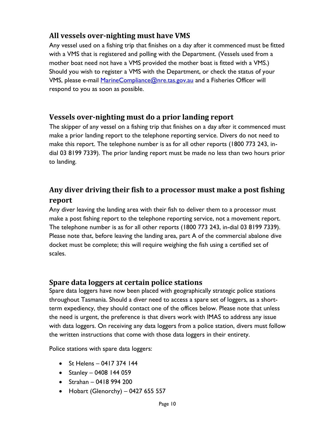# <span id="page-9-0"></span>**All vessels over-nighting must have VMS**

Any vessel used on a fishing trip that finishes on a day after it commenced must be fitted with a VMS that is registered and polling with the Department. (Vessels used from a mother boat need not have a VMS provided the mother boat is fitted with a VMS.) Should you wish to register a VMS with the Department, or check the status of your VMS, please e-mail [MarineCompliance@nre.tas.gov.au](mailto:MarineCompliance@nre.tas.gov.au) and a Fisheries Officer will respond to you as soon as possible.

# <span id="page-9-1"></span>**Vessels over-nighting must do a prior landing report**

The skipper of any vessel on a fishing trip that finishes on a day after it commenced must make a prior landing report to the telephone reporting service. Divers do not need to make this report. The telephone number is as for all other reports (1800 773 243, indial 03 8199 7339). The prior landing report must be made no less than two hours prior to landing.

# <span id="page-9-2"></span>**Any diver driving their fish to a processor must make a post fishing report**

Any diver leaving the landing area with their fish to deliver them to a processor must make a post fishing report to the telephone reporting service, not a movement report. The telephone number is as for all other reports (1800 773 243, in-dial 03 8199 7339). Please note that, before leaving the landing area, part A of the commercial abalone dive docket must be complete; this will require weighing the fish using a certified set of scales.

# <span id="page-9-3"></span>**Spare data loggers at certain police stations**

Spare data loggers have now been placed with geographically strategic police stations throughout Tasmania. Should a diver need to access a spare set of loggers, as a shortterm expediency, they should contact one of the offices below. Please note that unless the need is urgent, the preference is that divers work with IMAS to address any issue with data loggers. On receiving any data loggers from a police station, divers must follow the written instructions that come with those data loggers in their entirety.

Police stations with spare data loggers:

- St Helens 0417 374 144
- Stanley 0408 144 059
- Strahan 0418 994 200
- Hobart (Glenorchy) 0427 655 557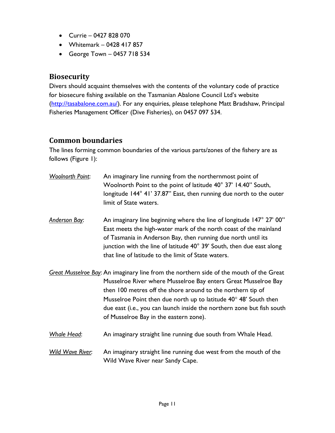- Currie 0427 828 070
- Whitemark 0428 417 857
- George Town 0457 718 534

#### <span id="page-10-0"></span>**Biosecurity**

Divers should acquaint themselves with the contents of the voluntary code of practice for biosecure fishing available on the Tasmanian Abalone Council Ltd's website [\(http://tasabalone.com.au/\)](http://tasabalone.com.au/). For any enquiries, please telephone Matt Bradshaw, Principal Fisheries Management Officer (Dive Fisheries), on 0457 097 534.

# <span id="page-10-1"></span>**Common boundaries**

The lines forming common boundaries of the various parts/zones of the fishery are as follows (Figure 1):

*Woolnorth Point*: An imaginary line running from the northernmost point of Woolnorth Point to the point of latitude 40° 37' 14.40" South, longitude 144° 41' 37.87" East, then running due north to the outer limit of State waters. *Anderson Bay*: An imaginary line beginning where the line of longitude 147° 27' 00" East meets the high-water mark of the north coast of the mainland of Tasmania in Anderson Bay, then running due north until its junction with the line of latitude 40° 39' South, then due east along that line of latitude to the limit of State waters. *Great Musselroe Bay*: An imaginary line from the northern side of the mouth of the Great Musselroe River where Musselroe Bay enters Great Musselroe Bay then 100 metres off the shore around to the northern tip of Musselroe Point then due north up to latitude  $40^{\circ}$  48' South then due east (i.e., you can launch inside the northern zone but fish south of Musselroe Bay in the eastern zone). *Whale Head*: An imaginary straight line running due south from Whale Head. *Wild Wave River*: An imaginary straight line running due west from the mouth of the Wild Wave River near Sandy Cape.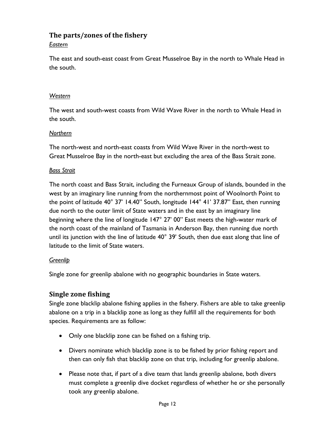#### <span id="page-11-0"></span>**The parts/zones of the fishery**

#### *Eastern*

The east and south-east coast from Great Musselroe Bay in the north to Whale Head in the south.

#### *Western*

The west and south-west coasts from Wild Wave River in the north to Whale Head in the south.

#### *Northern*

The north-west and north-east coasts from Wild Wave River in the north-west to Great Musselroe Bay in the north-east but excluding the area of the Bass Strait zone.

#### *Bass Strait*

The north coast and Bass Strait, including the Furneaux Group of islands, bounded in the west by an imaginary line running from the northernmost point of Woolnorth Point to the point of latitude 40° 37' 14.40" South, longitude 144° 41' 37.87" East, then running due north to the outer limit of State waters and in the east by an imaginary line beginning where the line of longitude 147° 27' 00" East meets the high-water mark of the north coast of the mainland of Tasmania in Anderson Bay, then running due north until its junction with the line of latitude 40° 39' South, then due east along that line of latitude to the limit of State waters.

#### *Greenlip*

Single zone for greenlip abalone with no geographic boundaries in State waters.

#### <span id="page-11-1"></span>**Single zone fishing**

Single zone blacklip abalone fishing applies in the fishery. Fishers are able to take greenlip abalone on a trip in a blacklip zone as long as they fulfill all the requirements for both species. Requirements are as follow:

- Only one blacklip zone can be fished on a fishing trip.
- Divers nominate which blacklip zone is to be fished by prior fishing report and then can only fish that blacklip zone on that trip, including for greenlip abalone.
- Please note that, if part of a dive team that lands greenlip abalone, both divers must complete a greenlip dive docket regardless of whether he or she personally took any greenlip abalone.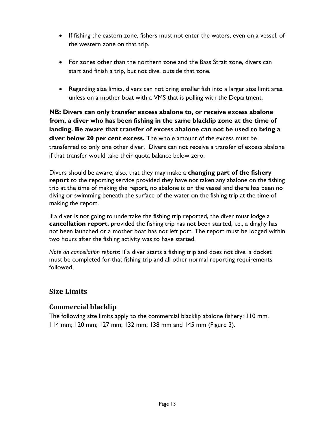- If fishing the eastern zone, fishers must not enter the waters, even on a vessel, of the western zone on that trip.
- For zones other than the northern zone and the Bass Strait zone, divers can start and finish a trip, but not dive, outside that zone.
- Regarding size limits, divers can not bring smaller fish into a larger size limit area unless on a mother boat with a VMS that is polling with the Department.

**NB: Divers can only transfer excess abalone to, or receive excess abalone from, a diver who has been fishing in the same blacklip zone at the time of landing. Be aware that transfer of excess abalone can not be used to bring a diver below 20 per cent excess.** The whole amount of the excess must be transferred to only one other diver. Divers can not receive a transfer of excess abalone if that transfer would take their quota balance below zero.

Divers should be aware, also, that they may make a **changing part of the fishery report** to the reporting service provided they have not taken any abalone on the fishing trip at the time of making the report, no abalone is on the vessel and there has been no diving or swimming beneath the surface of the water on the fishing trip at the time of making the report.

If a diver is not going to undertake the fishing trip reported, the diver must lodge a **cancellation report**, provided the fishing trip has not been started, i.e., a dinghy has not been launched or a mother boat has not left port. The report must be lodged within two hours after the fishing activity was to have started.

*Note on cancellation reports*: If a diver starts a fishing trip and does not dive, a docket must be completed for that fishing trip and all other normal reporting requirements followed.

# <span id="page-12-0"></span>**Size Limits**

#### <span id="page-12-1"></span>**Commercial blacklip**

The following size limits apply to the commercial blacklip abalone fishery: 110 mm, 114 mm; 120 mm; 127 mm; 132 mm; 138 mm and 145 mm (Figure 3).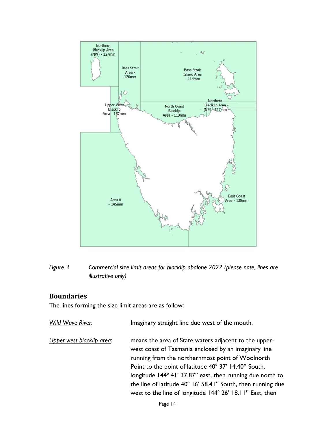

*Figure 3 Commercial size limit areas for blacklip abalone 2022 (please note, lines are illustrative only)*

#### <span id="page-13-0"></span>**Boundaries**

The lines forming the size limit areas are as follow:

| Imaginary straight line due west of the mouth.<br>Wild Wave River: |                                                                                                                                                                                                                                                                                                                                                                                                                   |
|--------------------------------------------------------------------|-------------------------------------------------------------------------------------------------------------------------------------------------------------------------------------------------------------------------------------------------------------------------------------------------------------------------------------------------------------------------------------------------------------------|
| Upper-west blacklip area:                                          | means the area of State waters adjacent to the upper-<br>west coast of Tasmania enclosed by an imaginary line<br>running from the northernmost point of Woolnorth<br>Point to the point of latitude 40° 37' 14.40" South,<br>longitude 144° 41' 37.87" east, then running due north to<br>the line of latitude 40° 16' 58.41" South, then running due<br>west to the line of longitude 144° 26' 18.11" East, then |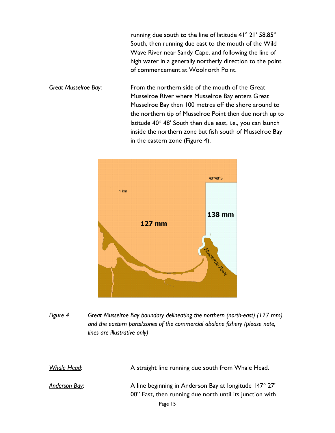running due south to the line of latitude  $41^{\circ}$  21' 58.85" South, then running due east to the mouth of the Wild Wave River near Sandy Cape, and following the line of high water in a generally northerly direction to the point of commencement at Woolnorth Point.

*Great Musselroe Bay*: From the northern side of the mouth of the Great Musselroe River where Musselroe Bay enters Great Musselroe Bay then 100 metres off the shore around to the northern tip of Musselroe Point then due north up to latitude  $40^{\circ}$  48' South then due east, i.e., you can launch inside the northern zone but fish south of Musselroe Bay in the eastern zone (Figure 4).



*Figure 4 Great Musselroe Bay boundary delineating the northern (north-east) (127 mm) and the eastern parts/zones of the commercial abalone fishery (please note, lines are illustrative only)*

| Whale Head:          | A straight line running due south from Whale Head.                                                                          |
|----------------------|-----------------------------------------------------------------------------------------------------------------------------|
| <u>Anderson Bay:</u> | A line beginning in Anderson Bay at longitude $147^{\circ}$ 27'<br>00" East, then running due north until its junction with |
|                      | Page 15                                                                                                                     |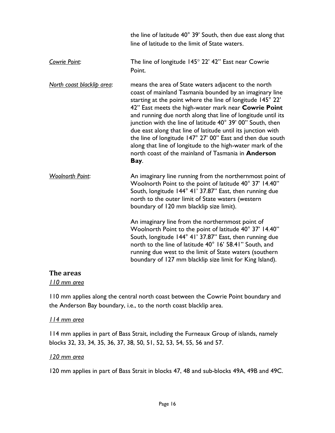|                            | the line of latitude 40° 39' South, then due east along that<br>line of latitude to the limit of State waters.                                                                                                                                                                                                                                                                                                                                                                                                                                                                                                                        |
|----------------------------|---------------------------------------------------------------------------------------------------------------------------------------------------------------------------------------------------------------------------------------------------------------------------------------------------------------------------------------------------------------------------------------------------------------------------------------------------------------------------------------------------------------------------------------------------------------------------------------------------------------------------------------|
| Cowrie Point:              | The line of longitude $145^\circ$ 22' 42" East near Cowrie<br>Point.                                                                                                                                                                                                                                                                                                                                                                                                                                                                                                                                                                  |
| North coast blacklip area: | means the area of State waters adjacent to the north<br>coast of mainland Tasmania bounded by an imaginary line<br>starting at the point where the line of longitude 145° 22'<br>42" East meets the high-water mark near Cowrie Point<br>and running due north along that line of longitude until its<br>junction with the line of latitude 40° 39' 00" South, then<br>due east along that line of latitude until its junction with<br>the line of longitude 147° 27' 00" East and then due south<br>along that line of longitude to the high-water mark of the<br>north coast of the mainland of Tasmania in <b>Anderson</b><br>Bay. |
| <b>Woolnorth Point:</b>    | An imaginary line running from the northernmost point of<br>Woolnorth Point to the point of latitude 40° 37' 14.40"<br>South, longitude 144° 41' 37.87" East, then running due<br>north to the outer limit of State waters (western<br>boundary of 120 mm blacklip size limit).                                                                                                                                                                                                                                                                                                                                                       |
|                            | An imaginary line from the northernmost point of<br>Woolnorth Point to the point of latitude 40° 37' 14.40"<br>South, longitude 144° 41' 37.87" East, then running due<br>north to the line of latitude 40° 16' 58.41" South, and<br>running due west to the limit of State waters (southern<br>boundary of 127 mm blacklip size limit for King Island).                                                                                                                                                                                                                                                                              |

#### <span id="page-15-0"></span>**The areas**

*110 mm area*

110 mm applies along the central north coast between the Cowrie Point boundary and the Anderson Bay boundary, i.e., to the north coast blacklip area.

#### *114 mm area*

114 mm applies in part of Bass Strait, including the Furneaux Group of islands, namely blocks 32, 33, 34, 35, 36, 37, 38, 50, 51, 52, 53, 54, 55, 56 and 57.

#### *120 mm area*

120 mm applies in part of Bass Strait in blocks 47, 48 and sub-blocks 49A, 49B and 49C.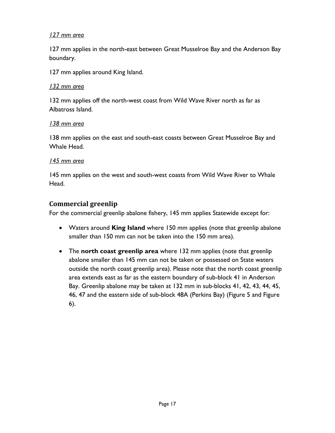#### *127 mm area*

127 mm applies in the north-east between Great Musselroe Bay and the Anderson Bay boundary.

127 mm applies around King Island.

#### *132 mm area*

132 mm applies off the north-west coast from Wild Wave River north as far as Albatross Island.

#### *138 mm area*

138 mm applies on the east and south-east coasts between Great Musselroe Bay and Whale Head.

#### *145 mm area*

145 mm applies on the west and south-west coasts from Wild Wave River to Whale Head.

# <span id="page-16-0"></span>**Commercial greenlip**

For the commercial greenlip abalone fishery, 145 mm applies Statewide except for:

- Waters around **King Island** where 150 mm applies (note that greenlip abalone smaller than 150 mm can not be taken into the 150 mm area).
- The **north coast greenlip area** where 132 mm applies (note that greenlip abalone smaller than 145 mm can not be taken or possessed on State waters outside the north coast greenlip area). Please note that the north coast greenlip area extends east as far as the eastern boundary of sub-block 41 in Anderson Bay. Greenlip abalone may be taken at 132 mm in sub-blocks 41, 42, 43, 44, 45, 46, 47 and the eastern side of sub-block 48A (Perkins Bay) (Figure 5 and Figure 6).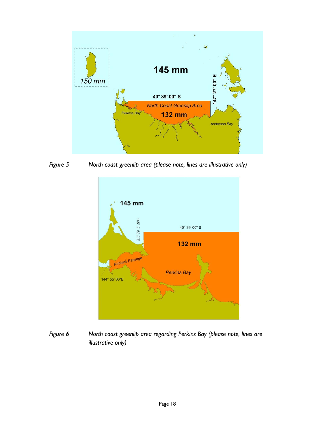

*Figure 5 North coast greenlip area (please note, lines are illustrative only)*



*Figure 6 North coast greenlip area regarding Perkins Bay (please note, lines are illustrative only)*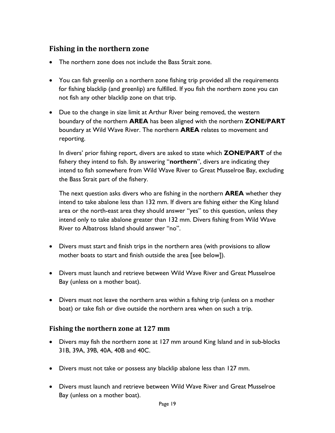# <span id="page-18-0"></span>**Fishing in the northern zone**

- The northern zone does not include the Bass Strait zone.
- You can fish greenlip on a northern zone fishing trip provided all the requirements for fishing blacklip (and greenlip) are fulfilled. If you fish the northern zone you can not fish any other blacklip zone on that trip.
- Due to the change in size limit at Arthur River being removed, the western boundary of the northern **AREA** has been aligned with the northern **ZONE/PART** boundary at Wild Wave River. The northern **AREA** relates to movement and reporting.

In divers' prior fishing report, divers are asked to state which **ZONE/PART** of the fishery they intend to fish. By answering "**northern**", divers are indicating they intend to fish somewhere from Wild Wave River to Great Musselroe Bay, excluding the Bass Strait part of the fishery.

The next question asks divers who are fishing in the northern **AREA** whether they intend to take abalone less than 132 mm. If divers are fishing either the King Island area or the north-east area they should answer "yes" to this question, unless they intend only to take abalone greater than 132 mm. Divers fishing from Wild Wave River to Albatross Island should answer "no".

- Divers must start and finish trips in the northern area (with provisions to allow mother boats to start and finish outside the area [see below]).
- Divers must launch and retrieve between Wild Wave River and Great Musselroe Bay (unless on a mother boat).
- Divers must not leave the northern area within a fishing trip (unless on a mother boat) or take fish or dive outside the northern area when on such a trip.

#### <span id="page-18-1"></span>**Fishing the northern zone at 127 mm**

- Divers may fish the northern zone at 127 mm around King Island and in sub-blocks 31B, 39A, 39B, 40A, 40B and 40C.
- Divers must not take or possess any blacklip abalone less than 127 mm.
- Divers must launch and retrieve between Wild Wave River and Great Musselroe Bay (unless on a mother boat).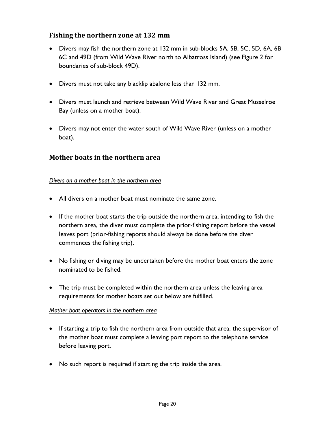#### <span id="page-19-0"></span>**Fishing the northern zone at 132 mm**

- Divers may fish the northern zone at 132 mm in sub-blocks 5A, 5B, 5C, 5D, 6A, 6B 6C and 49D (from Wild Wave River north to Albatross Island) (see Figure 2 for boundaries of sub-block 49D).
- Divers must not take any blacklip abalone less than 132 mm.
- Divers must launch and retrieve between Wild Wave River and Great Musselroe Bay (unless on a mother boat).
- Divers may not enter the water south of Wild Wave River (unless on a mother boat).

#### <span id="page-19-1"></span>**Mother boats in the northern area**

#### *Divers on a mother boat in the northern area*

- All divers on a mother boat must nominate the same zone.
- If the mother boat starts the trip outside the northern area, intending to fish the northern area, the diver must complete the prior-fishing report before the vessel leaves port (prior-fishing reports should always be done before the diver commences the fishing trip).
- No fishing or diving may be undertaken before the mother boat enters the zone nominated to be fished.
- The trip must be completed within the northern area unless the leaving area requirements for mother boats set out below are fulfilled.

#### *Mother boat operators in the northern area*

- If starting a trip to fish the northern area from outside that area, the supervisor of the mother boat must complete a leaving port report to the telephone service before leaving port.
- No such report is required if starting the trip inside the area.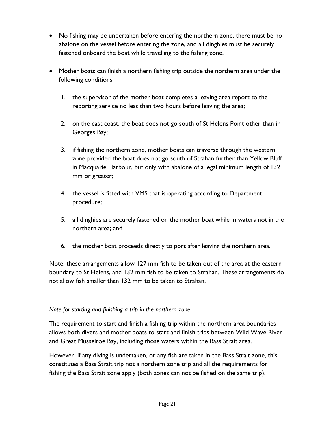- No fishing may be undertaken before entering the northern zone, there must be no abalone on the vessel before entering the zone, and all dinghies must be securely fastened onboard the boat while travelling to the fishing zone.
- Mother boats can finish a northern fishing trip outside the northern area under the following conditions:
	- 1. the supervisor of the mother boat completes a leaving area report to the reporting service no less than two hours before leaving the area;
	- 2. on the east coast, the boat does not go south of St Helens Point other than in Georges Bay;
	- 3. if fishing the northern zone, mother boats can traverse through the western zone provided the boat does not go south of Strahan further than Yellow Bluff in Macquarie Harbour, but only with abalone of a legal minimum length of 132 mm or greater;
	- 4. the vessel is fitted with VMS that is operating according to Department procedure;
	- 5. all dinghies are securely fastened on the mother boat while in waters not in the northern area; and
	- 6. the mother boat proceeds directly to port after leaving the northern area.

Note: these arrangements allow 127 mm fish to be taken out of the area at the eastern boundary to St Helens, and 132 mm fish to be taken to Strahan. These arrangements do not allow fish smaller than 132 mm to be taken to Strahan.

#### *Note for starting and finishing a trip in the northern zone*

The requirement to start and finish a fishing trip within the northern area boundaries allows both divers and mother boats to start and finish trips between Wild Wave River and Great Musselroe Bay, including those waters within the Bass Strait area.

However, if any diving is undertaken, or any fish are taken in the Bass Strait zone, this constitutes a Bass Strait trip not a northern zone trip and all the requirements for fishing the Bass Strait zone apply (both zones can not be fished on the same trip).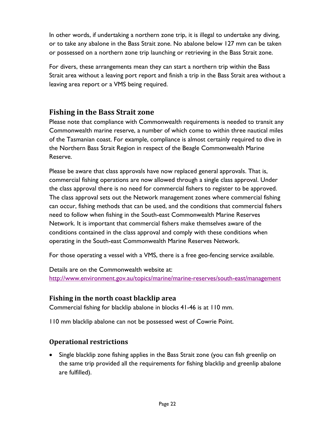In other words, if undertaking a northern zone trip, it is illegal to undertake any diving, or to take any abalone in the Bass Strait zone. No abalone below 127 mm can be taken or possessed on a northern zone trip launching or retrieving in the Bass Strait zone.

For divers, these arrangements mean they can start a northern trip within the Bass Strait area without a leaving port report and finish a trip in the Bass Strait area without a leaving area report or a VMS being required.

# <span id="page-21-0"></span>**Fishing in the Bass Strait zone**

Please note that compliance with Commonwealth requirements is needed to transit any Commonwealth marine reserve, a number of which come to within three nautical miles of the Tasmanian coast. For example, compliance is almost certainly required to dive in the Northern Bass Strait Region in respect of the Beagle Commonwealth Marine Reserve.

Please be aware that class approvals have now replaced general approvals. That is, commercial fishing operations are now allowed through a single class approval. Under the class approval there is no need for commercial fishers to register to be approved. The class approval sets out the Network management zones where commercial fishing can occur, fishing methods that can be used, and the conditions that commercial fishers need to follow when fishing in the South-east Commonwealth Marine Reserves Network. It is important that commercial fishers make themselves aware of the conditions contained in the class approval and comply with these conditions when operating in the South-east Commonwealth Marine Reserves Network.

For those operating a vessel with a VMS, there is a free geo-fencing service available.

Details are on the Commonwealth website at: <http://www.environment.gov.au/topics/marine/marine-reserves/south-east/management>

#### <span id="page-21-1"></span>**Fishing in the north coast blacklip area**

Commercial fishing for blacklip abalone in blocks 41-46 is at 110 mm.

110 mm blacklip abalone can not be possessed west of Cowrie Point.

#### <span id="page-21-2"></span>**Operational restrictions**

• Single blacklip zone fishing applies in the Bass Strait zone (you can fish greenlip on the same trip provided all the requirements for fishing blacklip and greenlip abalone are fulfilled).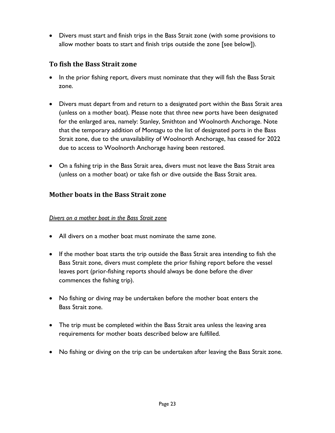• Divers must start and finish trips in the Bass Strait zone (with some provisions to allow mother boats to start and finish trips outside the zone [see below]).

# <span id="page-22-0"></span>**To fish the Bass Strait zone**

- In the prior fishing report, divers must nominate that they will fish the Bass Strait zone.
- Divers must depart from and return to a designated port within the Bass Strait area (unless on a mother boat). Please note that three new ports have been designated for the enlarged area, namely: Stanley, Smithton and Woolnorth Anchorage. Note that the temporary addition of Montagu to the list of designated ports in the Bass Strait zone, due to the unavailability of Woolnorth Anchorage, has ceased for 2022 due to access to Woolnorth Anchorage having been restored.
- On a fishing trip in the Bass Strait area, divers must not leave the Bass Strait area (unless on a mother boat) or take fish or dive outside the Bass Strait area.

#### <span id="page-22-1"></span>**Mother boats in the Bass Strait zone**

#### *Divers on a mother boat in the Bass Strait zone*

- All divers on a mother boat must nominate the same zone.
- If the mother boat starts the trip outside the Bass Strait area intending to fish the Bass Strait zone, divers must complete the prior fishing report before the vessel leaves port (prior-fishing reports should always be done before the diver commences the fishing trip).
- No fishing or diving may be undertaken before the mother boat enters the Bass Strait zone.
- The trip must be completed within the Bass Strait area unless the leaving area requirements for mother boats described below are fulfilled.
- No fishing or diving on the trip can be undertaken after leaving the Bass Strait zone.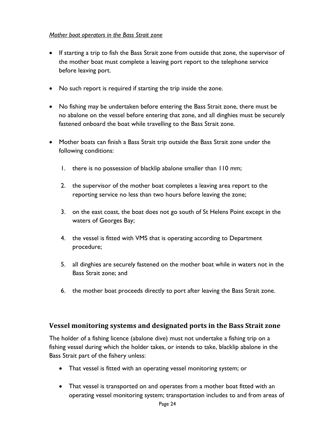#### *Mother boat operators in the Bass Strait zone*

- If starting a trip to fish the Bass Strait zone from outside that zone, the supervisor of the mother boat must complete a leaving port report to the telephone service before leaving port.
- No such report is required if starting the trip inside the zone.
- No fishing may be undertaken before entering the Bass Strait zone, there must be no abalone on the vessel before entering that zone, and all dinghies must be securely fastened onboard the boat while travelling to the Bass Strait zone.
- Mother boats can finish a Bass Strait trip outside the Bass Strait zone under the following conditions:
	- 1. there is no possession of blacklip abalone smaller than 110 mm;
	- 2. the supervisor of the mother boat completes a leaving area report to the reporting service no less than two hours before leaving the zone;
	- 3. on the east coast, the boat does not go south of St Helens Point except in the waters of Georges Bay;
	- 4. the vessel is fitted with VMS that is operating according to Department procedure;
	- 5. all dinghies are securely fastened on the mother boat while in waters not in the Bass Strait zone; and
	- 6. the mother boat proceeds directly to port after leaving the Bass Strait zone.

#### <span id="page-23-0"></span>**Vessel monitoring systems and designated ports in the Bass Strait zone**

The holder of a fishing licence (abalone dive) must not undertake a fishing trip on a fishing vessel during which the holder takes, or intends to take, blacklip abalone in the Bass Strait part of the fishery unless:

- That vessel is fitted with an operating vessel monitoring system; or
- That vessel is transported on and operates from a mother boat fitted with an operating vessel monitoring system; transportation includes to and from areas of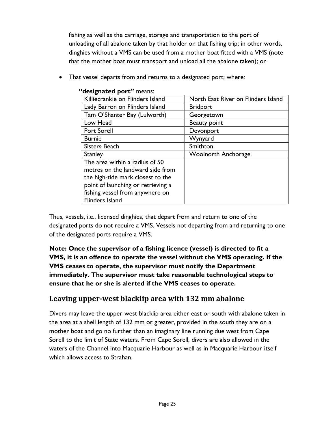fishing as well as the carriage, storage and transportation to the port of unloading of all abalone taken by that holder on that fishing trip; in other words, dinghies without a VMS can be used from a mother boat fitted with a VMS (note that the mother boat must transport and unload all the abalone taken); or

• That vessel departs from and returns to a designated port; where:

| $\alpha$                           |                                     |  |  |
|------------------------------------|-------------------------------------|--|--|
| Killiecrankie on Flinders Island   | North East River on Flinders Island |  |  |
| Lady Barron on Flinders Island     | <b>Bridport</b>                     |  |  |
| Tam O'Shanter Bay (Lulworth)       | Georgetown                          |  |  |
| Low Head                           | Beauty point                        |  |  |
| <b>Port Sorell</b>                 | Devonport                           |  |  |
| <b>Burnie</b>                      | Wynyard                             |  |  |
| Sisters Beach                      | Smithton                            |  |  |
| <b>Stanley</b>                     | <b>Woolnorth Anchorage</b>          |  |  |
| The area within a radius of 50     |                                     |  |  |
| metres on the landward side from   |                                     |  |  |
| the high-tide mark closest to the  |                                     |  |  |
| point of launching or retrieving a |                                     |  |  |
| fishing vessel from anywhere on    |                                     |  |  |
| Flinders Island                    |                                     |  |  |

#### **"designated port"** means:

Thus, vessels, i.e., licensed dinghies, that depart from and return to one of the designated ports do not require a VMS. Vessels not departing from and returning to one of the designated ports require a VMS.

**Note: Once the supervisor of a fishing licence (vessel) is directed to fit a VMS, it is an offence to operate the vessel without the VMS operating. If the VMS ceases to operate, the supervisor must notify the Department immediately. The supervisor must take reasonable technological steps to ensure that he or she is alerted if the VMS ceases to operate.** 

# <span id="page-24-0"></span>**Leaving upper-west blacklip area with 132 mm abalone**

Divers may leave the upper-west blacklip area either east or south with abalone taken in the area at a shell length of 132 mm or greater, provided in the south they are on a mother boat and go no further than an imaginary line running due west from Cape Sorell to the limit of State waters. From Cape Sorell, divers are also allowed in the waters of the Channel into Macquarie Harbour as well as in Macquarie Harbour itself which allows access to Strahan.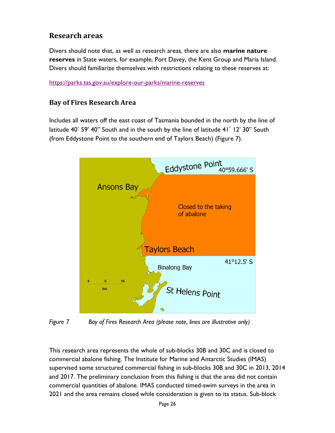# <span id="page-25-0"></span>**Research areas**

Divers should note that, as well as research areas, there are also **marine nature reserves** in State waters, for example, Port Davey, the Kent Group and Maria Island. Divers should familiarize themselves with restrictions relating to these reserves at:

<https://parks.tas.gov.au/explore-our-parks/marine-reserves>

#### <span id="page-25-1"></span>**Bay of Fires Research Area**

Includes all waters off the east coast of Tasmania bounded in the north by the line of latitude 40° 59' 40" South and in the south by the line of latitude 41° 12' 30" South (from Eddystone Point to the southern end of Taylors Beach) (Figure 7).



*Figure 7 Bay of Fires Research Area (please note, lines are illustrative only)*

This research area represents the whole of sub-blocks 30B and 30C and is closed to commercial abalone fishing. The Institute for Marine and Antarctic Studies (IMAS) supervised some structured commercial fishing in sub-blocks 30B and 30C in 2013, 2014 and 2017. The preliminary conclusion from this fishing is that the area did not contain commercial quantities of abalone. IMAS conducted timed-swim surveys in the area in 2021 and the area remains closed while consideration is given to its status. Sub-block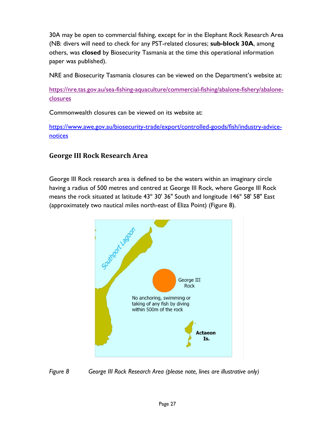30A may be open to commercial fishing, except for in the Elephant Rock Research Area (NB: divers will need to check for any PST-related closures; **sub-block 30A**, among others, was **closed** by Biosecurity Tasmania at the time this operational information paper was published).

NRE and Biosecurity Tasmania closures can be viewed on the Department's website at:

[https://nre.tas.gov.au/sea-fishing-aquaculture/commercial-fishing/abalone-fishery/abalone](https://nre.tas.gov.au/sea-fishing-aquaculture/commercial-fishing/abalone-fishery/abalone-closures)[closures](https://nre.tas.gov.au/sea-fishing-aquaculture/commercial-fishing/abalone-fishery/abalone-closures)

Commonwealth closures can be viewed on its website at:

[https://www.awe.gov.au/biosecurity-trade/export/controlled-goods/fish/industry-advice](https://www.awe.gov.au/biosecurity-trade/export/controlled-goods/fish/industry-advice-notices)[notices](https://www.awe.gov.au/biosecurity-trade/export/controlled-goods/fish/industry-advice-notices)

#### <span id="page-26-0"></span>**George III Rock Research Area**

George III Rock research area is defined to be the waters within an imaginary circle having a radius of 500 metres and centred at George III Rock, where George III Rock means the rock situated at latitude 43º 30' 36" South and longitude 146º 58' 58" East (approximately two nautical miles north-east of Eliza Point) (Figure 8).



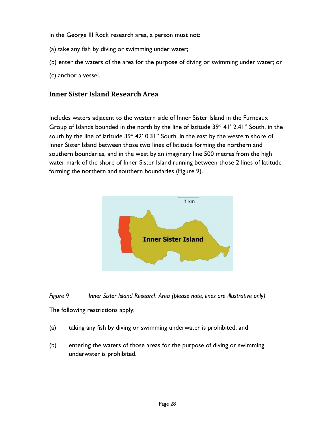In the George III Rock research area, a person must not:

- (a) take any fish by diving or swimming under water;
- (b) enter the waters of the area for the purpose of diving or swimming under water; or
- (c) anchor a vessel.

#### <span id="page-27-0"></span>**Inner Sister Island Research Area**

Includes waters adjacent to the western side of Inner Sister Island in the Furneaux Group of Islands bounded in the north by the line of latitude  $39^{\circ}$  41' 2.41" South, in the south by the line of latitude  $39^{\circ}$  42' 0.31" South, in the east by the western shore of Inner Sister Island between those two lines of latitude forming the northern and southern boundaries, and in the west by an imaginary line 500 metres from the high water mark of the shore of Inner Sister Island running between those 2 lines of latitude forming the northern and southern boundaries (Figure 9).



*Figure 9 Inner Sister Island Research Area (please note, lines are illustrative only)* The following restrictions apply:

- (a) taking any fish by diving or swimming underwater is prohibited; and
- (b) entering the waters of those areas for the purpose of diving or swimming underwater is prohibited.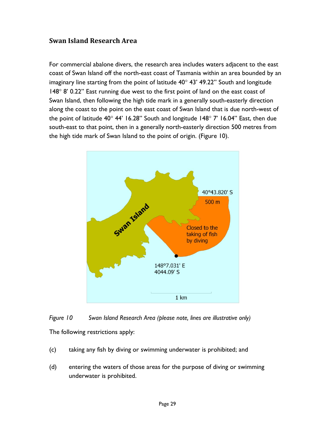#### <span id="page-28-0"></span>**Swan Island Research Area**

For commercial abalone divers, the research area includes waters adjacent to the east coast of Swan Island off the north-east coast of Tasmania within an area bounded by an imaginary line starting from the point of latitude  $40^{\circ}$  43' 49.22" South and longitude  $148^\circ$  8' 0.22" East running due west to the first point of land on the east coast of Swan Island, then following the high tide mark in a generally south-easterly direction along the coast to the point on the east coast of Swan Island that is due north-west of the point of latitude  $40^{\circ}$  44' 16.28" South and longitude 148 $^{\circ}$  7' 16.04" East, then due south-east to that point, then in a generally north-easterly direction 500 metres from the high tide mark of Swan Island to the point of origin. (Figure 10).



*Figure 10 Swan Island Research Area (please note, lines are illustrative only)* The following restrictions apply:

- (c) taking any fish by diving or swimming underwater is prohibited; and
- (d) entering the waters of those areas for the purpose of diving or swimming underwater is prohibited.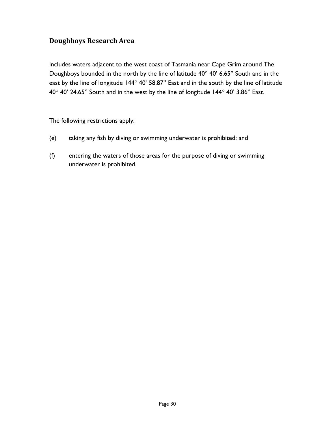## <span id="page-29-0"></span>**Doughboys Research Area**

Includes waters adjacent to the west coast of Tasmania near Cape Grim around The Doughboys bounded in the north by the line of latitude  $40^{\circ}$  40' 6.65" South and in the east by the line of longitude 144° 40' 58.87" East and in the south by the line of latitude  $40^{\circ}$  40' 24.65" South and in the west by the line of longitude 144 $^{\circ}$  40' 3.86" East.

The following restrictions apply:

- (e) taking any fish by diving or swimming underwater is prohibited; and
- (f) entering the waters of those areas for the purpose of diving or swimming underwater is prohibited.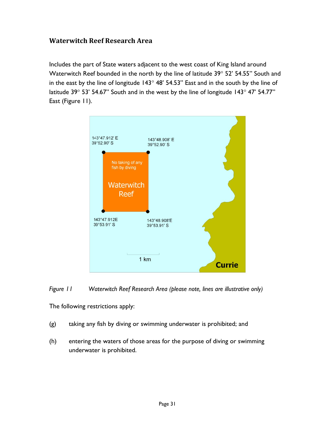#### <span id="page-30-0"></span>**Waterwitch Reef Research Area**

Includes the part of State waters adjacent to the west coast of King Island around Waterwitch Reef bounded in the north by the line of latitude  $39^{\circ}$  52' 54.55" South and in the east by the line of longitude  $143^\circ 48' 54.53''$  East and in the south by the line of latitude 39 $^{\circ}$  53' 54.67" South and in the west by the line of longitude 143 $^{\circ}$  47' 54.77" East (Figure 11).



*Figure 11 Waterwitch Reef Research Area (please note, lines are illustrative only)*

The following restrictions apply:

- (g) taking any fish by diving or swimming underwater is prohibited; and
- (h) entering the waters of those areas for the purpose of diving or swimming underwater is prohibited.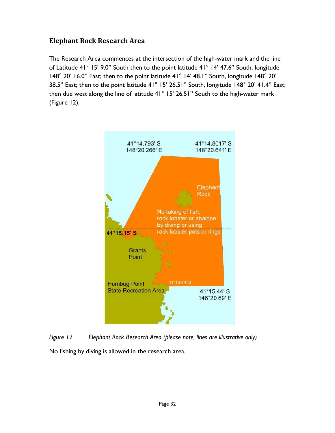# <span id="page-31-0"></span>**Elephant Rock Research Area**

The Research Area commences at the intersection of the high-water mark and the line of Latitude 41° 15' 9.0" South then to the point latitude 41° 14' 47.6" South, longitude 148° 20' 16.0" East; then to the point latitude 41° 14' 48.1" South, longitude 148° 20' 38.5" East; then to the point latitude 41° 15' 26.51" South, longitude 148° 20' 41.4" East; then due west along the line of latitude 41° 15' 26.51" South to the high-water mark (Figure 12).



*Figure 12 Elephant Rock Research Area (please note, lines are illustrative only)* No fishing by diving is allowed in the research area.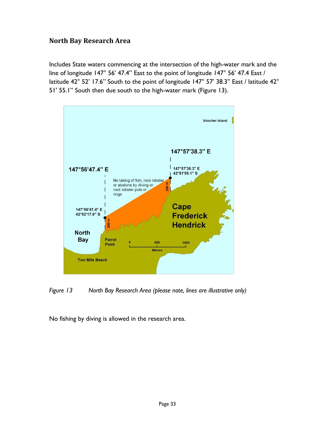#### <span id="page-32-0"></span>**North Bay Research Area**

Includes State waters commencing at the intersection of the high-water mark and the line of longitude 147° 56' 47.4" East to the point of longitude 147° 56' 47.4 East / latitude 42° 52' 17.6" South to the point of longitude 147° 57' 38.3" East / latitude 42° 51' 55.1" South then due south to the high-water mark (Figure 13).



*Figure 13 North Bay Research Area (please note, lines are illustrative only)*

No fishing by diving is allowed in the research area.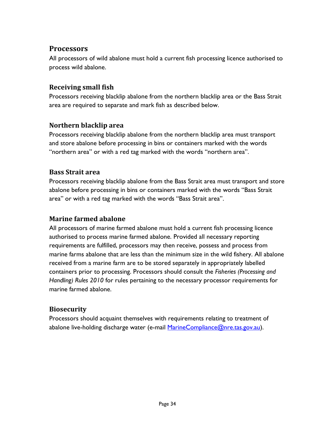# <span id="page-33-0"></span>**Processors**

All processors of wild abalone must hold a current fish processing licence authorised to process wild abalone.

# <span id="page-33-1"></span>**Receiving small fish**

Processors receiving blacklip abalone from the northern blacklip area or the Bass Strait area are required to separate and mark fish as described below.

# <span id="page-33-2"></span>**Northern blacklip area**

Processors receiving blacklip abalone from the northern blacklip area must transport and store abalone before processing in bins or containers marked with the words "northern area" or with a red tag marked with the words "northern area".

#### <span id="page-33-3"></span>**Bass Strait area**

Processors receiving blacklip abalone from the Bass Strait area must transport and store abalone before processing in bins or containers marked with the words "Bass Strait area" or with a red tag marked with the words "Bass Strait area".

#### <span id="page-33-4"></span>**Marine farmed abalone**

All processors of marine farmed abalone must hold a current fish processing licence authorised to process marine farmed abalone. Provided all necessary reporting requirements are fulfilled, processors may then receive, possess and process from marine farms abalone that are less than the minimum size in the wild fishery. All abalone received from a marine farm are to be stored separately in appropriately labelled containers prior to processing. Processors should consult the *Fisheries (Processing and Handling) Rules 2010* for rules pertaining to the necessary processor requirements for marine farmed abalone.

#### <span id="page-33-5"></span>**Biosecurity**

Processors should acquaint themselves with requirements relating to treatment of abalone live-holding discharge water (e-mail [MarineCompliance@nre.tas.gov.au\)](mailto:MarineCompliance@nre.tas.gov.au).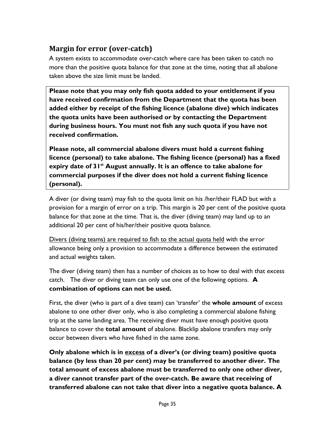# <span id="page-34-0"></span>**Margin for error (over-catch)**

A system exists to accommodate over-catch where care has been taken to catch no more than the positive quota balance for that zone at the time, noting that all abalone taken above the size limit must be landed.

**Please note that you may only fish quota added to your entitlement if you have received confirmation from the Department that the quota has been added either by receipt of the fishing licence (abalone dive) which indicates the quota units have been authorised or by contacting the Department during business hours. You must not fish any such quota if you have not received confirmation.** 

**Please note, all commercial abalone divers must hold a current fishing licence (personal) to take abalone. The fishing licence (personal) has a fixed expiry date of 31st August annually. It is an offence to take abalone for commercial purposes if the diver does not hold a current fishing licence (personal).** 

A diver (or diving team) may fish to the quota limit on his /her/their FLAD but with a provision for a margin of error on a trip. This margin is 20 per cent of the positive quota balance for that zone at the time. That is, the diver (diving team) may land up to an additional 20 per cent of his/her/their positive quota balance.

Divers (diving teams) are required to fish to the actual quota held with the error allowance being only a provision to accommodate a difference between the estimated and actual weights taken.

The diver (diving team) then has a number of choices as to how to deal with that excess catch. The diver or diving team can only use one of the following options. **A combination of options can not be used.** 

First, the diver (who is part of a dive team) can 'transfer' the **whole amount** of excess abalone to one other diver only, who is also completing a commercial abalone fishing trip at the same landing area. The receiving diver must have enough positive quota balance to cover the **total amount** of abalone. Blacklip abalone transfers may only occur between divers who have fished in the same zone.

**Only abalone which is in excess of a diver's (or diving team) positive quota balance (by less than 20 per cent) may be transferred to another diver. The total amount of excess abalone must be transferred to only one other diver, a diver cannot transfer part of the over-catch. Be aware that receiving of transferred abalone can not take that diver into a negative quota balance. A**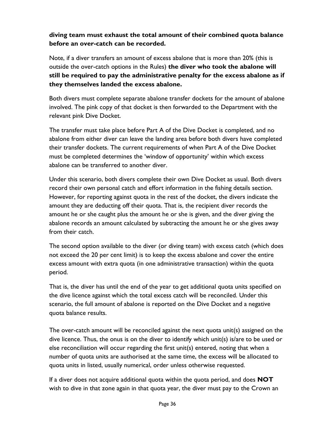#### **diving team must exhaust the total amount of their combined quota balance before an over-catch can be recorded.**

Note, if a diver transfers an amount of excess abalone that is more than 20% (this is outside the over-catch options in the Rules) **the diver who took the abalone will still be required to pay the administrative penalty for the excess abalone as if they themselves landed the excess abalone.** 

Both divers must complete separate abalone transfer dockets for the amount of abalone involved. The pink copy of that docket is then forwarded to the Department with the relevant pink Dive Docket.

The transfer must take place before Part A of the Dive Docket is completed, and no abalone from either diver can leave the landing area before both divers have completed their transfer dockets. The current requirements of when Part A of the Dive Docket must be completed determines the 'window of opportunity' within which excess abalone can be transferred to another diver.

Under this scenario, both divers complete their own Dive Docket as usual. Both divers record their own personal catch and effort information in the fishing details section. However, for reporting against quota in the rest of the docket, the divers indicate the amount they are deducting off their quota. That is, the recipient diver records the amount he or she caught plus the amount he or she is given, and the diver giving the abalone records an amount calculated by subtracting the amount he or she gives away from their catch.

The second option available to the diver (or diving team) with excess catch (which does not exceed the 20 per cent limit) is to keep the excess abalone and cover the entire excess amount with extra quota (in one administrative transaction) within the quota period.

That is, the diver has until the end of the year to get additional quota units specified on the dive licence against which the total excess catch will be reconciled. Under this scenario, the full amount of abalone is reported on the Dive Docket and a negative quota balance results.

The over-catch amount will be reconciled against the next quota unit(s) assigned on the dive licence. Thus, the onus is on the diver to identify which unit(s) is/are to be used or else reconciliation will occur regarding the first unit(s) entered, noting that when a number of quota units are authorised at the same time, the excess will be allocated to quota units in listed, usually numerical, order unless otherwise requested.

If a diver does not acquire additional quota within the quota period, and does **NOT** wish to dive in that zone again in that quota year, the diver must pay to the Crown an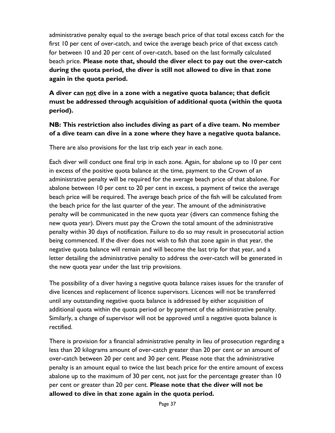administrative penalty equal to the average beach price of that total excess catch for the first 10 per cent of over-catch, and twice the average beach price of that excess catch for between 10 and 20 per cent of over-catch, based on the last formally calculated beach price. **Please note that, should the diver elect to pay out the over-catch during the quota period, the diver is still not allowed to dive in that zone again in the quota period.**

**A diver can not dive in a zone with a negative quota balance; that deficit must be addressed through acquisition of additional quota (within the quota period).**

#### **NB: This restriction also includes diving as part of a dive team. No member of a dive team can dive in a zone where they have a negative quota balance.**

There are also provisions for the last trip each year in each zone.

Each diver will conduct one final trip in each zone. Again, for abalone up to 10 per cent in excess of the positive quota balance at the time, payment to the Crown of an administrative penalty will be required for the average beach price of that abalone. For abalone between 10 per cent to 20 per cent in excess, a payment of twice the average beach price will be required. The average beach price of the fish will be calculated from the beach price for the last quarter of the year. The amount of the administrative penalty will be communicated in the new quota year (divers can commence fishing the new quota year). Divers must pay the Crown the total amount of the administrative penalty within 30 days of notification. Failure to do so may result in prosecutorial action being commenced. If the diver does not wish to fish that zone again in that year, the negative quota balance will remain and will become the last trip for that year, and a letter detailing the administrative penalty to address the over-catch will be generated in the new quota year under the last trip provisions.

The possibility of a diver having a negative quota balance raises issues for the transfer of dive licences and replacement of licence supervisors. Licences will not be transferred until any outstanding negative quota balance is addressed by either acquisition of additional quota within the quota period or by payment of the administrative penalty. Similarly, a change of supervisor will not be approved until a negative quota balance is rectified.

There is provision for a financial administrative penalty in lieu of prosecution regarding a less than 20 kilograms amount of over-catch greater than 20 per cent or an amount of over-catch between 20 per cent and 30 per cent. Please note that the administrative penalty is an amount equal to twice the last beach price for the entire amount of excess abalone up to the maximum of 30 per cent, not just for the percentage greater than 10 per cent or greater than 20 per cent. **Please note that the diver will not be allowed to dive in that zone again in the quota period.**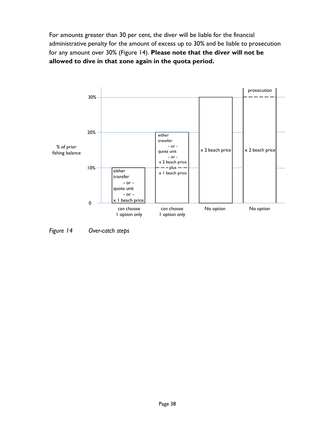For amounts greater than 30 per cent, the diver will be liable for the financial administrative penalty for the amount of excess up to 30% and be liable to prosecution for any amount over 30% (Figure 14). **Please note that the diver will not be allowed to dive in that zone again in the quota period.**



*Figure 14 Over-catch steps*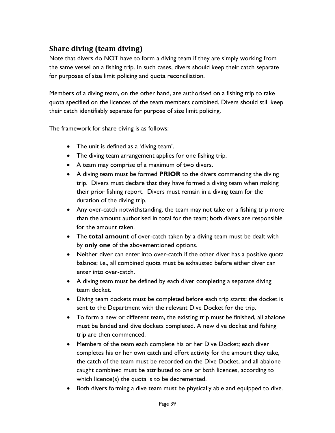# <span id="page-38-0"></span>**Share diving (team diving)**

Note that divers do NOT have to form a diving team if they are simply working from the same vessel on a fishing trip. In such cases, divers should keep their catch separate for purposes of size limit policing and quota reconciliation.

Members of a diving team, on the other hand, are authorised on a fishing trip to take quota specified on the licences of the team members combined. Divers should still keep their catch identifiably separate for purpose of size limit policing.

The framework for share diving is as follows:

- The unit is defined as a 'diving team'.
- The diving team arrangement applies for one fishing trip.
- A team may comprise of a maximum of two divers.
- A diving team must be formed **PRIOR** to the divers commencing the diving trip. Divers must declare that they have formed a diving team when making their prior fishing report. Divers must remain in a diving team for the duration of the diving trip.
- Any over-catch notwithstanding, the team may not take on a fishing trip more than the amount authorised in total for the team; both divers are responsible for the amount taken.
- The **total amount** of over-catch taken by a diving team must be dealt with by **only one** of the abovementioned options.
- Neither diver can enter into over-catch if the other diver has a positive quota balance; i.e., all combined quota must be exhausted before either diver can enter into over-catch.
- A diving team must be defined by each diver completing a separate diving team docket.
- Diving team dockets must be completed before each trip starts; the docket is sent to the Department with the relevant Dive Docket for the trip.
- To form a new or different team, the existing trip must be finished, all abalone must be landed and dive dockets completed. A new dive docket and fishing trip are then commenced.
- Members of the team each complete his or her Dive Docket; each diver completes his or her own catch and effort activity for the amount they take, the catch of the team must be recorded on the Dive Docket, and all abalone caught combined must be attributed to one or both licences, according to which licence(s) the quota is to be decremented.
- Both divers forming a dive team must be physically able and equipped to dive.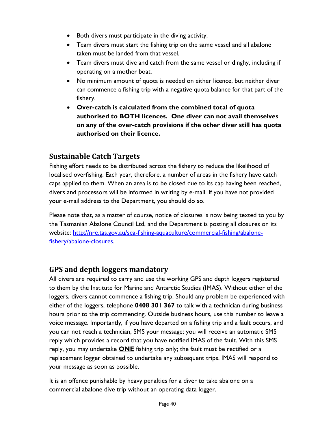- Both divers must participate in the diving activity.
- Team divers must start the fishing trip on the same vessel and all abalone taken must be landed from that vessel.
- Team divers must dive and catch from the same vessel or dinghy, including if operating on a mother boat.
- No minimum amount of quota is needed on either licence, but neither diver can commence a fishing trip with a negative quota balance for that part of the fishery.
- **Over-catch is calculated from the combined total of quota authorised to BOTH licences. One diver can not avail themselves on any of the over-catch provisions if the other diver still has quota authorised on their licence.**

# <span id="page-39-0"></span>**Sustainable Catch Targets**

Fishing effort needs to be distributed across the fishery to reduce the likelihood of localised overfishing. Each year, therefore, a number of areas in the fishery have catch caps applied to them. When an area is to be closed due to its cap having been reached, divers and processors will be informed in writing by e-mail. If you have not provided your e-mail address to the Department, you should do so.

Please note that, as a matter of course, notice of closures is now being texted to you by the Tasmanian Abalone Council Ltd, and the Department is posting all closures on its website: [http://nre.tas.gov.au/sea-fishing-aquaculture/commercial-fishing/abalone](http://nre.tas.gov.au/sea-fishing-aquaculture/commercial-fishing/abalone-fishery/abalone-closures)[fishery/abalone-closures.](http://nre.tas.gov.au/sea-fishing-aquaculture/commercial-fishing/abalone-fishery/abalone-closures)

#### <span id="page-39-1"></span>**GPS and depth loggers mandatory**

All divers are required to carry and use the working GPS and depth loggers registered to them by the Institute for Marine and Antarctic Studies (IMAS). Without either of the loggers, divers cannot commence a fishing trip. Should any problem be experienced with either of the loggers, telephone **0408 301 367** to talk with a technician during business hours prior to the trip commencing. Outside business hours, use this number to leave a voice message. Importantly, if you have departed on a fishing trip and a fault occurs, and you can not reach a technician, SMS your message; you will receive an automatic SMS reply which provides a record that you have notified IMAS of the fault. With this SMS reply, you may undertake **ONE** fishing trip only; the fault must be rectified or a replacement logger obtained to undertake any subsequent trips. IMAS will respond to your message as soon as possible.

It is an offence punishable by heavy penalties for a diver to take abalone on a commercial abalone dive trip without an operating data logger.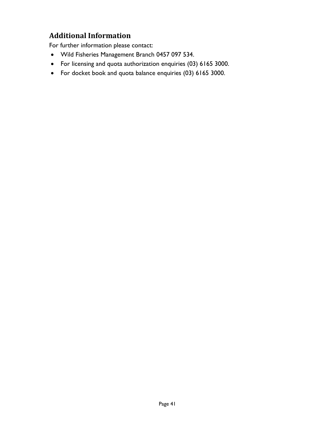# <span id="page-40-0"></span>**Additional Information**

For further information please contact:

- Wild Fisheries Management Branch 0457 097 534.
- For licensing and quota authorization enquiries (03) 6165 3000.
- For docket book and quota balance enquiries (03) 6165 3000.